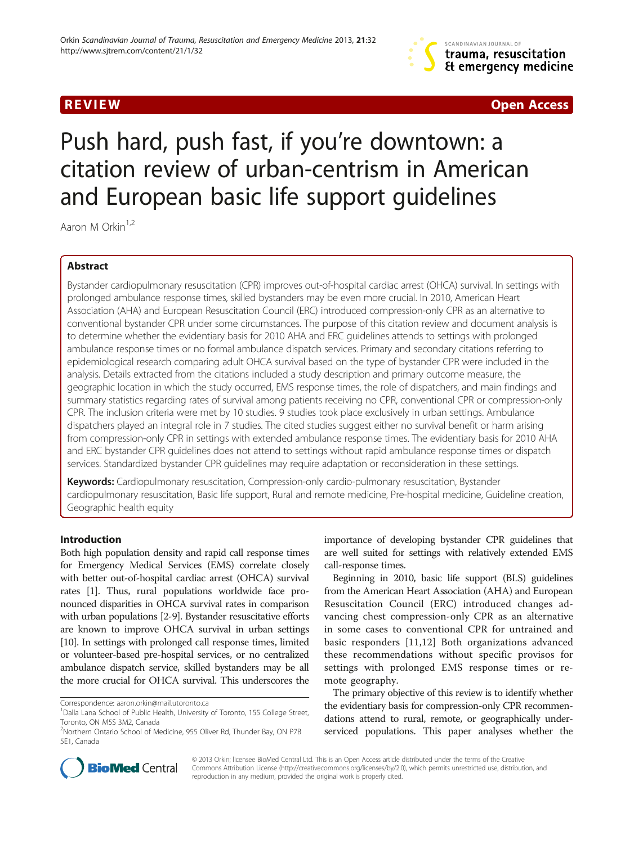

**REVIEW CONSUMING THE CONSUMING OPEN ACCESS** 

# Push hard, push fast, if you're downtown: a citation review of urban-centrism in American and European basic life support guidelines

Aaron M Orkin<sup>1,2</sup>

# Abstract

Bystander cardiopulmonary resuscitation (CPR) improves out-of-hospital cardiac arrest (OHCA) survival. In settings with prolonged ambulance response times, skilled bystanders may be even more crucial. In 2010, American Heart Association (AHA) and European Resuscitation Council (ERC) introduced compression-only CPR as an alternative to conventional bystander CPR under some circumstances. The purpose of this citation review and document analysis is to determine whether the evidentiary basis for 2010 AHA and ERC guidelines attends to settings with prolonged ambulance response times or no formal ambulance dispatch services. Primary and secondary citations referring to epidemiological research comparing adult OHCA survival based on the type of bystander CPR were included in the analysis. Details extracted from the citations included a study description and primary outcome measure, the geographic location in which the study occurred, EMS response times, the role of dispatchers, and main findings and summary statistics regarding rates of survival among patients receiving no CPR, conventional CPR or compression-only CPR. The inclusion criteria were met by 10 studies. 9 studies took place exclusively in urban settings. Ambulance dispatchers played an integral role in 7 studies. The cited studies suggest either no survival benefit or harm arising from compression-only CPR in settings with extended ambulance response times. The evidentiary basis for 2010 AHA and ERC bystander CPR guidelines does not attend to settings without rapid ambulance response times or dispatch services. Standardized bystander CPR guidelines may require adaptation or reconsideration in these settings.

Keywords: Cardiopulmonary resuscitation, Compression-only cardio-pulmonary resuscitation, Bystander cardiopulmonary resuscitation, Basic life support, Rural and remote medicine, Pre-hospital medicine, Guideline creation, Geographic health equity

# Introduction

Both high population density and rapid call response times for Emergency Medical Services (EMS) correlate closely with better out-of-hospital cardiac arrest (OHCA) survival rates [\[1](#page-7-0)]. Thus, rural populations worldwide face pronounced disparities in OHCA survival rates in comparison with urban populations [[2](#page-7-0)-[9](#page-7-0)]. Bystander resuscitative efforts are known to improve OHCA survival in urban settings [[10](#page-7-0)]. In settings with prolonged call response times, limited or volunteer-based pre-hospital services, or no centralized ambulance dispatch service, skilled bystanders may be all the more crucial for OHCA survival. This underscores the

Correspondence: [aaron.orkin@mail.utoronto.ca](mailto:aaron.orkin@mail.utoronto.ca) <sup>1</sup>

importance of developing bystander CPR guidelines that are well suited for settings with relatively extended EMS call-response times.

Beginning in 2010, basic life support (BLS) guidelines from the American Heart Association (AHA) and European Resuscitation Council (ERC) introduced changes advancing chest compression-only CPR as an alternative in some cases to conventional CPR for untrained and basic responders [\[11,12](#page-7-0)] Both organizations advanced these recommendations without specific provisos for settings with prolonged EMS response times or remote geography.

The primary objective of this review is to identify whether the evidentiary basis for compression-only CPR recommendations attend to rural, remote, or geographically underserviced populations. This paper analyses whether the



© 2013 Orkin; licensee BioMed Central Ltd. This is an Open Access article distributed under the terms of the Creative Commons Attribution License [\(http://creativecommons.org/licenses/by/2.0\)](http://creativecommons.org/licenses/by/2.0), which permits unrestricted use, distribution, and reproduction in any medium, provided the original work is properly cited.

<sup>&</sup>lt;sup>1</sup> Dalla Lana School of Public Health, University of Toronto, 155 College Street, Toronto, ON M5S 3M2, Canada

<sup>&</sup>lt;sup>2</sup>Northern Ontario School of Medicine, 955 Oliver Rd, Thunder Bay, ON P7B 5E1, Canada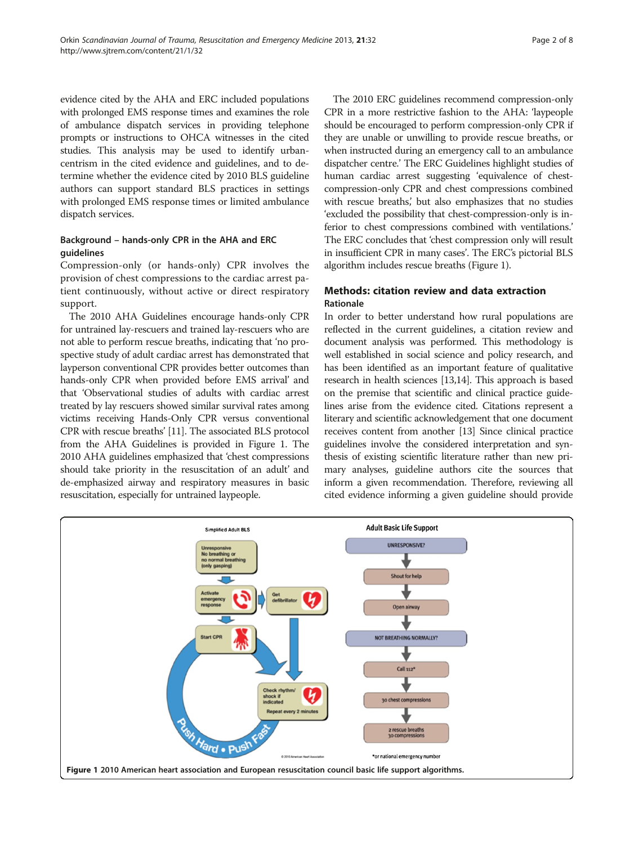evidence cited by the AHA and ERC included populations with prolonged EMS response times and examines the role of ambulance dispatch services in providing telephone prompts or instructions to OHCA witnesses in the cited studies. This analysis may be used to identify urbancentrism in the cited evidence and guidelines, and to determine whether the evidence cited by 2010 BLS guideline authors can support standard BLS practices in settings with prolonged EMS response times or limited ambulance dispatch services.

# Background – hands-only CPR in the AHA and ERC guidelines

Compression-only (or hands-only) CPR involves the provision of chest compressions to the cardiac arrest patient continuously, without active or direct respiratory support.

The 2010 AHA Guidelines encourage hands-only CPR for untrained lay-rescuers and trained lay-rescuers who are not able to perform rescue breaths, indicating that 'no prospective study of adult cardiac arrest has demonstrated that layperson conventional CPR provides better outcomes than hands-only CPR when provided before EMS arrival' and that 'Observational studies of adults with cardiac arrest treated by lay rescuers showed similar survival rates among victims receiving Hands-Only CPR versus conventional CPR with rescue breaths' [[11](#page-7-0)]. The associated BLS protocol from the AHA Guidelines is provided in Figure 1. The 2010 AHA guidelines emphasized that 'chest compressions should take priority in the resuscitation of an adult' and de-emphasized airway and respiratory measures in basic resuscitation, especially for untrained laypeople.

The 2010 ERC guidelines recommend compression-only CPR in a more restrictive fashion to the AHA: 'laypeople should be encouraged to perform compression-only CPR if they are unable or unwilling to provide rescue breaths, or when instructed during an emergency call to an ambulance dispatcher centre.' The ERC Guidelines highlight studies of human cardiac arrest suggesting 'equivalence of chestcompression-only CPR and chest compressions combined with rescue breaths,' but also emphasizes that no studies 'excluded the possibility that chest-compression-only is inferior to chest compressions combined with ventilations.' The ERC concludes that 'chest compression only will result in insufficient CPR in many cases'. The ERC's pictorial BLS algorithm includes rescue breaths (Figure 1).

# Methods: citation review and data extraction Rationale

In order to better understand how rural populations are reflected in the current guidelines, a citation review and document analysis was performed. This methodology is well established in social science and policy research, and has been identified as an important feature of qualitative research in health sciences [\[13,14](#page-7-0)]. This approach is based on the premise that scientific and clinical practice guidelines arise from the evidence cited. Citations represent a literary and scientific acknowledgement that one document receives content from another [\[13\]](#page-7-0) Since clinical practice guidelines involve the considered interpretation and synthesis of existing scientific literature rather than new primary analyses, guideline authors cite the sources that inform a given recommendation. Therefore, reviewing all cited evidence informing a given guideline should provide

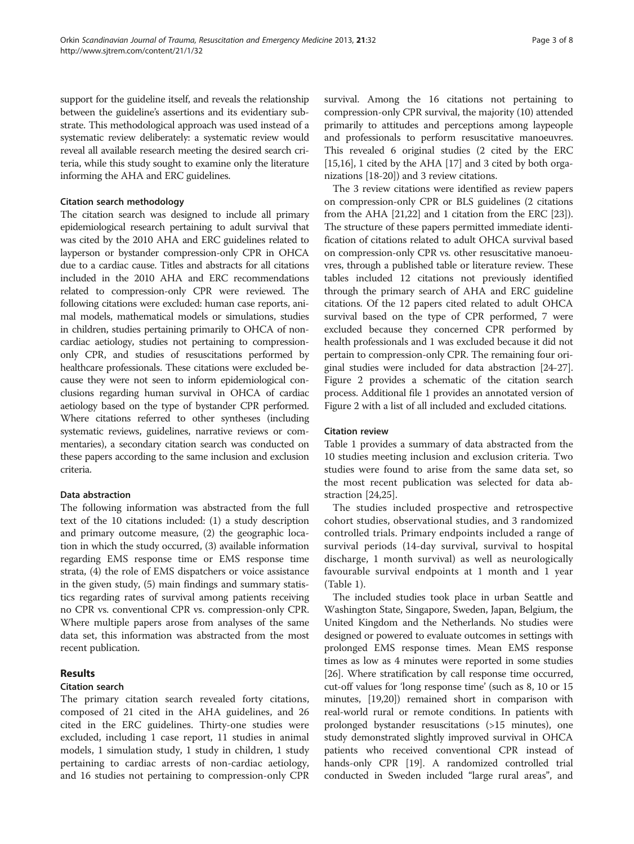support for the guideline itself, and reveals the relationship between the guideline's assertions and its evidentiary substrate. This methodological approach was used instead of a systematic review deliberately: a systematic review would reveal all available research meeting the desired search criteria, while this study sought to examine only the literature informing the AHA and ERC guidelines.

#### Citation search methodology

The citation search was designed to include all primary epidemiological research pertaining to adult survival that was cited by the 2010 AHA and ERC guidelines related to layperson or bystander compression-only CPR in OHCA due to a cardiac cause. Titles and abstracts for all citations included in the 2010 AHA and ERC recommendations related to compression-only CPR were reviewed. The following citations were excluded: human case reports, animal models, mathematical models or simulations, studies in children, studies pertaining primarily to OHCA of noncardiac aetiology, studies not pertaining to compressiononly CPR, and studies of resuscitations performed by healthcare professionals. These citations were excluded because they were not seen to inform epidemiological conclusions regarding human survival in OHCA of cardiac aetiology based on the type of bystander CPR performed. Where citations referred to other syntheses (including systematic reviews, guidelines, narrative reviews or commentaries), a secondary citation search was conducted on these papers according to the same inclusion and exclusion criteria.

### Data abstraction

The following information was abstracted from the full text of the 10 citations included: (1) a study description and primary outcome measure, (2) the geographic location in which the study occurred, (3) available information regarding EMS response time or EMS response time strata, (4) the role of EMS dispatchers or voice assistance in the given study, (5) main findings and summary statistics regarding rates of survival among patients receiving no CPR vs. conventional CPR vs. compression-only CPR. Where multiple papers arose from analyses of the same data set, this information was abstracted from the most recent publication.

# Results

#### Citation search

The primary citation search revealed forty citations, composed of 21 cited in the AHA guidelines, and 26 cited in the ERC guidelines. Thirty-one studies were excluded, including 1 case report, 11 studies in animal models, 1 simulation study, 1 study in children, 1 study pertaining to cardiac arrests of non-cardiac aetiology, and 16 studies not pertaining to compression-only CPR

survival. Among the 16 citations not pertaining to compression-only CPR survival, the majority (10) attended primarily to attitudes and perceptions among laypeople and professionals to perform resuscitative manoeuvres. This revealed 6 original studies (2 cited by the ERC [[15](#page-7-0),[16](#page-7-0)], 1 cited by the AHA [[17](#page-7-0)] and 3 cited by both organizations [\[18](#page-7-0)-[20](#page-7-0)]) and 3 review citations.

The 3 review citations were identified as review papers on compression-only CPR or BLS guidelines (2 citations from the AHA [\[21,22](#page-7-0)] and 1 citation from the ERC [[23](#page-7-0)]). The structure of these papers permitted immediate identification of citations related to adult OHCA survival based on compression-only CPR vs. other resuscitative manoeuvres, through a published table or literature review. These tables included 12 citations not previously identified through the primary search of AHA and ERC guideline citations. Of the 12 papers cited related to adult OHCA survival based on the type of CPR performed, 7 were excluded because they concerned CPR performed by health professionals and 1 was excluded because it did not pertain to compression-only CPR. The remaining four original studies were included for data abstraction [[24](#page-7-0)-[27](#page-7-0)]. Figure [2](#page-3-0) provides a schematic of the citation search process. Additional file [1](#page-6-0) provides an annotated version of Figure [2](#page-3-0) with a list of all included and excluded citations.

# Citation review

Table [1](#page-4-0) provides a summary of data abstracted from the 10 studies meeting inclusion and exclusion criteria. Two studies were found to arise from the same data set, so the most recent publication was selected for data abstraction [[24,25](#page-7-0)].

The studies included prospective and retrospective cohort studies, observational studies, and 3 randomized controlled trials. Primary endpoints included a range of survival periods (14-day survival, survival to hospital discharge, 1 month survival) as well as neurologically favourable survival endpoints at 1 month and 1 year (Table [1](#page-4-0)).

The included studies took place in urban Seattle and Washington State, Singapore, Sweden, Japan, Belgium, the United Kingdom and the Netherlands. No studies were designed or powered to evaluate outcomes in settings with prolonged EMS response times. Mean EMS response times as low as 4 minutes were reported in some studies [[26](#page-7-0)]. Where stratification by call response time occurred, cut-off values for 'long response time' (such as 8, 10 or 15 minutes, [[19,20](#page-7-0)]) remained short in comparison with real-world rural or remote conditions. In patients with prolonged bystander resuscitations (>15 minutes), one study demonstrated slightly improved survival in OHCA patients who received conventional CPR instead of hands-only CPR [\[19\]](#page-7-0). A randomized controlled trial conducted in Sweden included "large rural areas", and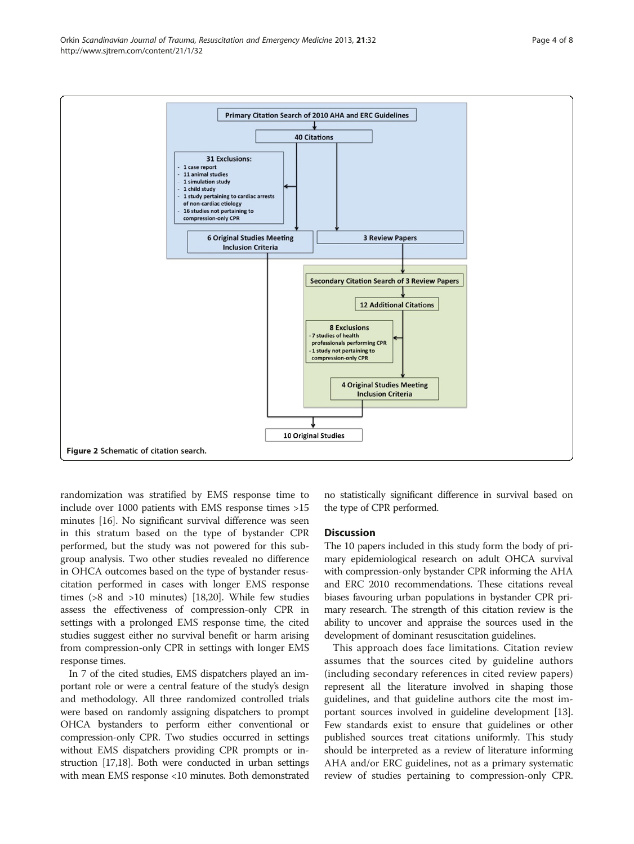<span id="page-3-0"></span>

randomization was stratified by EMS response time to include over 1000 patients with EMS response times >15 minutes [\[16\]](#page-7-0). No significant survival difference was seen in this stratum based on the type of bystander CPR performed, but the study was not powered for this subgroup analysis. Two other studies revealed no difference in OHCA outcomes based on the type of bystander resuscitation performed in cases with longer EMS response times (>8 and >10 minutes) [[18,20](#page-7-0)]. While few studies assess the effectiveness of compression-only CPR in settings with a prolonged EMS response time, the cited studies suggest either no survival benefit or harm arising from compression-only CPR in settings with longer EMS response times.

In 7 of the cited studies, EMS dispatchers played an important role or were a central feature of the study's design and methodology. All three randomized controlled trials were based on randomly assigning dispatchers to prompt OHCA bystanders to perform either conventional or compression-only CPR. Two studies occurred in settings without EMS dispatchers providing CPR prompts or instruction [\[17,18\]](#page-7-0). Both were conducted in urban settings with mean EMS response <10 minutes. Both demonstrated

no statistically significant difference in survival based on the type of CPR performed.

#### **Discussion**

The 10 papers included in this study form the body of primary epidemiological research on adult OHCA survival with compression-only bystander CPR informing the AHA and ERC 2010 recommendations. These citations reveal biases favouring urban populations in bystander CPR primary research. The strength of this citation review is the ability to uncover and appraise the sources used in the development of dominant resuscitation guidelines.

This approach does face limitations. Citation review assumes that the sources cited by guideline authors (including secondary references in cited review papers) represent all the literature involved in shaping those guidelines, and that guideline authors cite the most important sources involved in guideline development [[13](#page-7-0)]. Few standards exist to ensure that guidelines or other published sources treat citations uniformly. This study should be interpreted as a review of literature informing AHA and/or ERC guidelines, not as a primary systematic review of studies pertaining to compression-only CPR.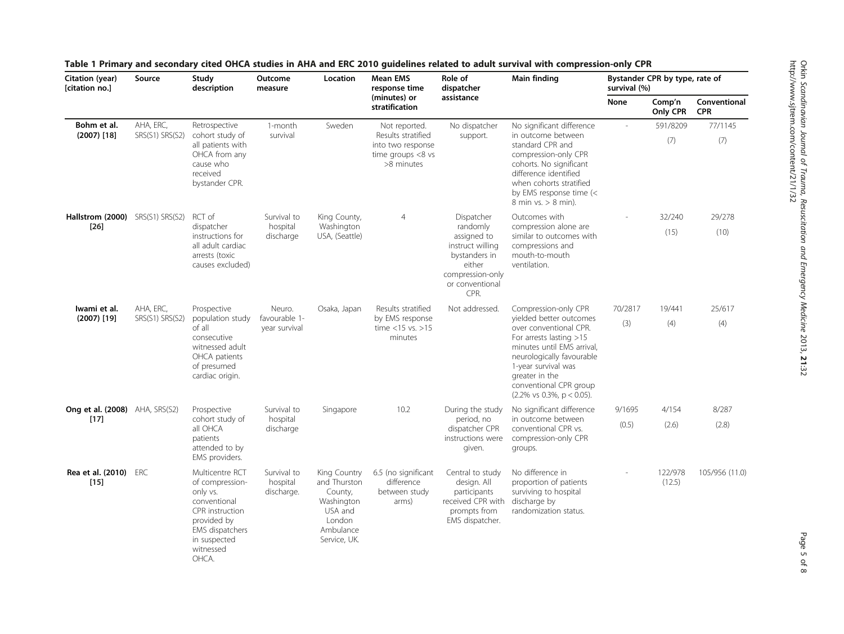| Citation (year)<br>[citation no.]             | Source                       | Study<br>description                                                                                                                                      | Outcome<br>measure                       | Location                                                                                                | <b>Mean EMS</b><br>response time<br>(minutes) or<br>stratification                            | Role of<br>dispatcher<br>assistance                                                                                                 | Main finding                                                                                                                                                                                                                                                                           | Bystander CPR by type, rate of<br>survival (%) |                    |                            |
|-----------------------------------------------|------------------------------|-----------------------------------------------------------------------------------------------------------------------------------------------------------|------------------------------------------|---------------------------------------------------------------------------------------------------------|-----------------------------------------------------------------------------------------------|-------------------------------------------------------------------------------------------------------------------------------------|----------------------------------------------------------------------------------------------------------------------------------------------------------------------------------------------------------------------------------------------------------------------------------------|------------------------------------------------|--------------------|----------------------------|
|                                               |                              |                                                                                                                                                           |                                          |                                                                                                         |                                                                                               |                                                                                                                                     |                                                                                                                                                                                                                                                                                        | None                                           | Comp'n<br>Only CPR | Conventional<br><b>CPR</b> |
| Bohm et al.<br>$(2007)$ [18]                  | AHA, ERC,<br>SRS(S1) SRS(S2) | Retrospective<br>cohort study of<br>all patients with<br>OHCA from any<br>cause who<br>received<br>bystander CPR.                                         | 1-month<br>survival                      | Sweden                                                                                                  | Not reported.<br>Results stratified<br>into two response<br>time groups $<8$ vs<br>>8 minutes | No dispatcher<br>support.                                                                                                           | No significant difference<br>in outcome between<br>standard CPR and<br>compression-only CPR<br>cohorts. No significant<br>difference identified<br>when cohorts stratified<br>by EMS response time (<<br>8 min vs. > 8 min).                                                           |                                                | 591/8209           | 77/1145                    |
|                                               |                              |                                                                                                                                                           |                                          |                                                                                                         |                                                                                               |                                                                                                                                     |                                                                                                                                                                                                                                                                                        |                                                | (7)                | (7)                        |
| Hallstrom (2000) SRS(S1) SRS(S2)<br>$[26]$    |                              | RCT of<br>dispatcher<br>instructions for<br>all adult cardiac<br>arrests (toxic<br>causes excluded)                                                       | Survival to<br>hospital<br>discharge     | King County,<br>Washington<br>USA, (Seattle)                                                            | $\overline{4}$                                                                                | Dispatcher<br>randomly<br>assigned to<br>instruct willing<br>bystanders in<br>either<br>compression-only<br>or conventional<br>CPR. | Outcomes with<br>compression alone are<br>similar to outcomes with<br>compressions and<br>mouth-to-mouth<br>ventilation.                                                                                                                                                               |                                                | 32/240             | 29/278                     |
|                                               |                              |                                                                                                                                                           |                                          |                                                                                                         |                                                                                               |                                                                                                                                     |                                                                                                                                                                                                                                                                                        |                                                | (15)               | (10)                       |
| Iwami et al.<br>$(2007)$ [19]                 | AHA, ERC,<br>SRS(S1) SRS(S2) | Prospective<br>population study<br>of all<br>consecutive<br>witnessed adult<br>OHCA patients<br>of presumed<br>cardiac origin.                            | Neuro.<br>favourable 1-<br>year survival | Osaka, Japan                                                                                            | Results stratified<br>by EMS response<br>time <15 vs. >15<br>minutes                          | Not addressed.                                                                                                                      | Compression-only CPR<br>vielded better outcomes<br>over conventional CPR.<br>For arrests lasting $>15$<br>minutes until EMS arrival,<br>neurologically favourable<br>1-year survival was<br>greater in the<br>conventional CPR group<br>$(2.2\% \text{ vs } 0.3\%, \text{ p} < 0.05).$ | 70/2817<br>(3)                                 | 19/441<br>(4)      | 25/617<br>(4)              |
| <b>Ong et al. (2008)</b> AHA, SRS(S2)<br>[17] |                              | Prospective<br>cohort study of<br>all OHCA<br>patients<br>attended to by<br>EMS providers.                                                                | Survival to<br>hospital<br>discharge     | Singapore                                                                                               | 10.2                                                                                          | During the study<br>period, no<br>dispatcher CPR<br>instructions were<br>given.                                                     | No significant difference<br>in outcome between<br>conventional CPR vs.<br>compression-only CPR<br>groups.                                                                                                                                                                             | 9/1695                                         | 4/154              | 8/287                      |
|                                               |                              |                                                                                                                                                           |                                          |                                                                                                         |                                                                                               |                                                                                                                                     |                                                                                                                                                                                                                                                                                        | (0.5)                                          | (2.6)              | (2.8)                      |
| Rea et al. (2010)<br>$[15]$                   | ERC                          | Multicentre RCT<br>of compression-<br>only vs.<br>conventional<br>CPR instruction<br>provided by<br>EMS dispatchers<br>in suspected<br>witnessed<br>OHCA. | Survival to<br>hospital<br>discharge.    | King Country<br>and Thurston<br>County,<br>Washington<br>USA and<br>London<br>Ambulance<br>Service, UK. | 6.5 (no significant<br>difference<br>between study<br>arms)                                   | Central to study<br>design. All<br>participants<br>received CPR with<br>prompts from<br>EMS dispatcher.                             | No difference in<br>proportion of patients<br>surviving to hospital<br>discharge by<br>randomization status.                                                                                                                                                                           |                                                | 122/978<br>(12.5)  | 105/956 (11.0)             |

<span id="page-4-0"></span>

|  |  | Table 1 Primary and secondary cited OHCA studies in AHA and ERC 2010 guidelines related to adult survival with compression-only CPR |  |
|--|--|-------------------------------------------------------------------------------------------------------------------------------------|--|
|--|--|-------------------------------------------------------------------------------------------------------------------------------------|--|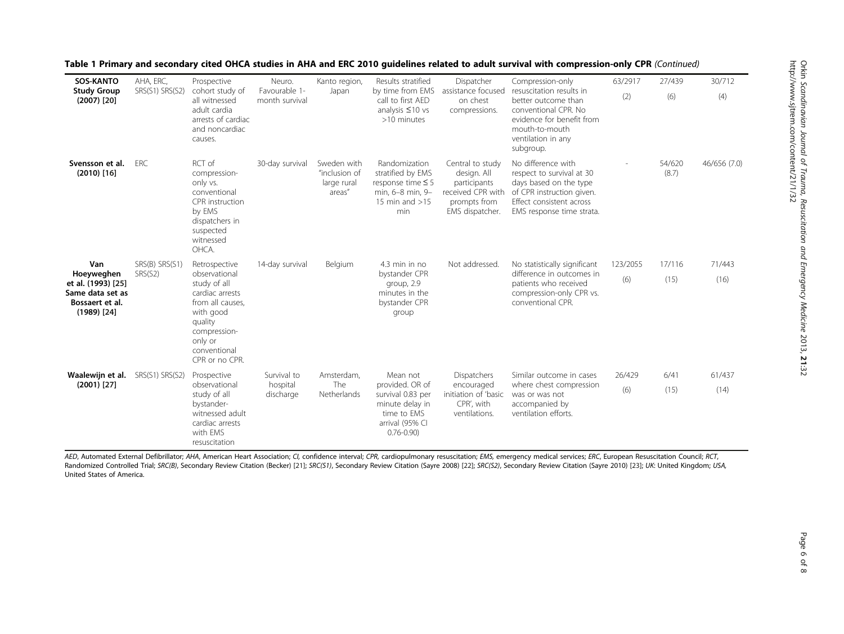| <b>SOS-KANTO</b><br><b>Study Group</b><br>$(2007)$ $[20]$                                       | AHA, ERC,<br>SRS(S1) SRS(S2) | Prospective<br>cohort study of<br>all witnessed<br>adult cardia<br>arrests of cardiac<br>and noncardiac<br>causes.                                                         | Neuro.<br>Favourable 1-<br>month survival | Kanto region,<br>Japan                                | Results stratified<br>by time from EMS<br>call to first AED<br>analysis $\leq 10$ vs<br>>10 minutes                    | Dispatcher<br>assistance focused<br>on chest<br>compressions.                                           | Compression-only<br>resuscitation results in<br>better outcome than<br>conventional CPR. No<br>evidence for benefit from<br>mouth-to-mouth<br>ventilation in any<br>subgroup. | 63/2917         | 27/439          | 30/712         |
|-------------------------------------------------------------------------------------------------|------------------------------|----------------------------------------------------------------------------------------------------------------------------------------------------------------------------|-------------------------------------------|-------------------------------------------------------|------------------------------------------------------------------------------------------------------------------------|---------------------------------------------------------------------------------------------------------|-------------------------------------------------------------------------------------------------------------------------------------------------------------------------------|-----------------|-----------------|----------------|
|                                                                                                 |                              |                                                                                                                                                                            |                                           |                                                       |                                                                                                                        |                                                                                                         |                                                                                                                                                                               | (2)             | (6)             | (4)            |
| Svensson et al.<br>$(2010)$ [16]                                                                | <b>FRC</b>                   | RCT of<br>compression-<br>only vs.<br>conventional<br>CPR instruction<br>by EMS<br>dispatchers in<br>suspected<br>witnessed<br>OHCA.                                       | 30-day survival                           | Sweden with<br>"inclusion of<br>large rural<br>areas" | Randomization<br>stratified by EMS<br>response time $\leq$ 5<br>min, 6-8 min, 9-<br>15 min and $>15$<br>min            | Central to study<br>design. All<br>participants<br>received CPR with<br>prompts from<br>EMS dispatcher. | No difference with<br>respect to survival at 30<br>days based on the type<br>of CPR instruction given.<br>Effect consistent across<br>EMS response time strata.               |                 | 54/620<br>(8.7) | 46/656 (7.0)   |
| Van<br>Hoeyweghen<br>et al. (1993) [25]<br>Same data set as<br>Bossaert et al.<br>$(1989)$ [24] | SRS(B) SRS(S1)<br>SRS(S2)    | Retrospective<br>observational<br>study of all<br>cardiac arrests<br>from all causes.<br>with good<br>quality<br>compression-<br>only or<br>conventional<br>CPR or no CPR. | 14-day survival                           | Belgium                                               | $4.3$ min in no<br>bystander CPR<br>group, 2.9<br>minutes in the<br>bystander CPR<br>group                             | Not addressed.                                                                                          | No statistically significant<br>difference in outcomes in<br>patients who received<br>compression-only CPR vs.<br>conventional CPR.                                           | 123/2055<br>(6) | 17/116<br>(15)  | 71/443<br>(16) |
| Waalewijn et al.<br>$(2001)$ [27]                                                               | SRS(S1) SRS(S2)              | Prospective<br>observational<br>study of all<br>bystander-<br>witnessed adult<br>cardiac arrests<br>with EMS<br>resuscitation                                              | Survival to<br>hospital<br>discharge      | Amsterdam,<br>The<br>Netherlands                      | Mean not<br>provided. OR of<br>survival 0.83 per<br>minute delay in<br>time to EMS<br>arrival (95% CI<br>$0.76 - 0.90$ | <b>Dispatchers</b><br>encouraged<br>initiation of 'basic<br>CPR', with<br>ventilations.                 | Similar outcome in cases<br>where chest compression<br>was or was not<br>accompanied by<br>ventilation efforts.                                                               | 26/429<br>(6)   | 6/41<br>(15)    | 61/437<br>(14) |

Table 1 Primary and secondary cited OHCA studies in AHA and ERC 2010 guidelines related to adult survival with compression-only CPR (Continued)

AED, Automated External Defibrillator: AHA, American Heart Association; CI, confidence interval; CPR, cardiopulmonary resuscitation; EMS, emergency medical services; ERC, European Resuscitation Council; RCT, Randomized Controlled Trial; SRC(B), Secondary Review Citation (Becker) [[21](#page-7-0)]; SRC(S1), Secondary Review Citation (Sayre 2008) [\[22](#page-7-0)]; SRC(S2), Secondary Review Citation (Sayre 2010) [\[23\]](#page-7-0); UK: United Kingdom; USA, United States of America.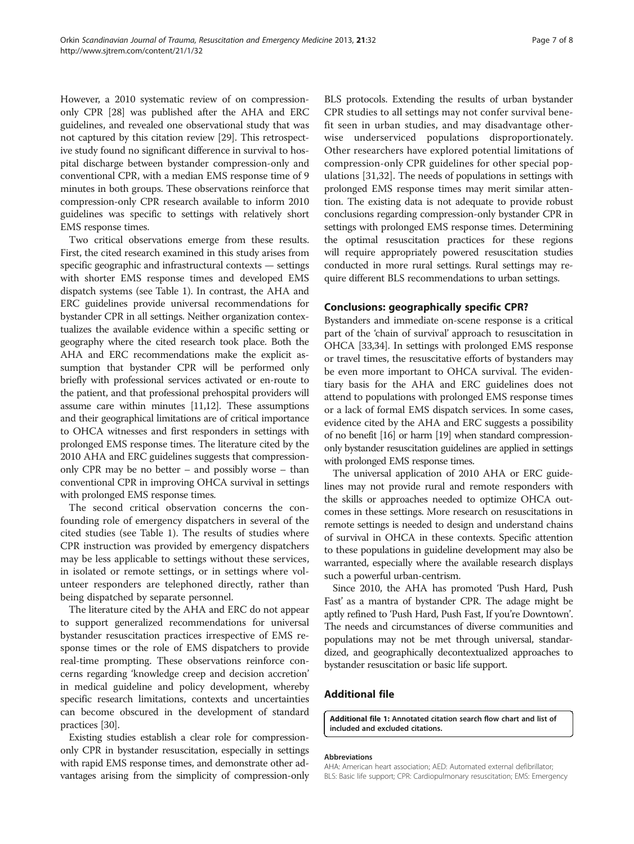<span id="page-6-0"></span>However, a 2010 systematic review of on compressiononly CPR [[28](#page-7-0)] was published after the AHA and ERC guidelines, and revealed one observational study that was not captured by this citation review [[29](#page-7-0)]. This retrospective study found no significant difference in survival to hospital discharge between bystander compression-only and conventional CPR, with a median EMS response time of 9 minutes in both groups. These observations reinforce that compression-only CPR research available to inform 2010 guidelines was specific to settings with relatively short EMS response times.

Two critical observations emerge from these results. First, the cited research examined in this study arises from specific geographic and infrastructural contexts — settings with shorter EMS response times and developed EMS dispatch systems (see Table [1](#page-4-0)). In contrast, the AHA and ERC guidelines provide universal recommendations for bystander CPR in all settings. Neither organization contextualizes the available evidence within a specific setting or geography where the cited research took place. Both the AHA and ERC recommendations make the explicit assumption that bystander CPR will be performed only briefly with professional services activated or en-route to the patient, and that professional prehospital providers will assume care within minutes [\[11,12\]](#page-7-0). These assumptions and their geographical limitations are of critical importance to OHCA witnesses and first responders in settings with prolonged EMS response times. The literature cited by the 2010 AHA and ERC guidelines suggests that compressiononly CPR may be no better – and possibly worse – than conventional CPR in improving OHCA survival in settings with prolonged EMS response times.

The second critical observation concerns the confounding role of emergency dispatchers in several of the cited studies (see Table [1](#page-4-0)). The results of studies where CPR instruction was provided by emergency dispatchers may be less applicable to settings without these services, in isolated or remote settings, or in settings where volunteer responders are telephoned directly, rather than being dispatched by separate personnel.

The literature cited by the AHA and ERC do not appear to support generalized recommendations for universal bystander resuscitation practices irrespective of EMS response times or the role of EMS dispatchers to provide real-time prompting. These observations reinforce concerns regarding 'knowledge creep and decision accretion' in medical guideline and policy development, whereby specific research limitations, contexts and uncertainties can become obscured in the development of standard practices [[30](#page-7-0)].

Existing studies establish a clear role for compressiononly CPR in bystander resuscitation, especially in settings with rapid EMS response times, and demonstrate other advantages arising from the simplicity of compression-only BLS protocols. Extending the results of urban bystander CPR studies to all settings may not confer survival benefit seen in urban studies, and may disadvantage otherwise underserviced populations disproportionately. Other researchers have explored potential limitations of compression-only CPR guidelines for other special populations [[31,32](#page-7-0)]. The needs of populations in settings with prolonged EMS response times may merit similar attention. The existing data is not adequate to provide robust conclusions regarding compression-only bystander CPR in settings with prolonged EMS response times. Determining the optimal resuscitation practices for these regions will require appropriately powered resuscitation studies conducted in more rural settings. Rural settings may require different BLS recommendations to urban settings.

# Conclusions: geographically specific CPR?

Bystanders and immediate on-scene response is a critical part of the 'chain of survival' approach to resuscitation in OHCA [[33,34](#page-7-0)]. In settings with prolonged EMS response or travel times, the resuscitative efforts of bystanders may be even more important to OHCA survival. The evidentiary basis for the AHA and ERC guidelines does not attend to populations with prolonged EMS response times or a lack of formal EMS dispatch services. In some cases, evidence cited by the AHA and ERC suggests a possibility of no benefit [[16\]](#page-7-0) or harm [\[19](#page-7-0)] when standard compressiononly bystander resuscitation guidelines are applied in settings with prolonged EMS response times.

The universal application of 2010 AHA or ERC guidelines may not provide rural and remote responders with the skills or approaches needed to optimize OHCA outcomes in these settings. More research on resuscitations in remote settings is needed to design and understand chains of survival in OHCA in these contexts. Specific attention to these populations in guideline development may also be warranted, especially where the available research displays such a powerful urban-centrism.

Since 2010, the AHA has promoted 'Push Hard, Push Fast' as a mantra of bystander CPR. The adage might be aptly refined to 'Push Hard, Push Fast, If you're Downtown'. The needs and circumstances of diverse communities and populations may not be met through universal, standardized, and geographically decontextualized approaches to bystander resuscitation or basic life support.

#### Additional file

[Additional file 1:](http://www.biomedcentral.com/content/supplementary/1757-7241-21-32-S1.docx) Annotated citation search flow chart and list of included and excluded citations.

#### Abbreviations

AHA: American heart association; AED: Automated external defibrillator; BLS: Basic life support; CPR: Cardiopulmonary resuscitation; EMS: Emergency